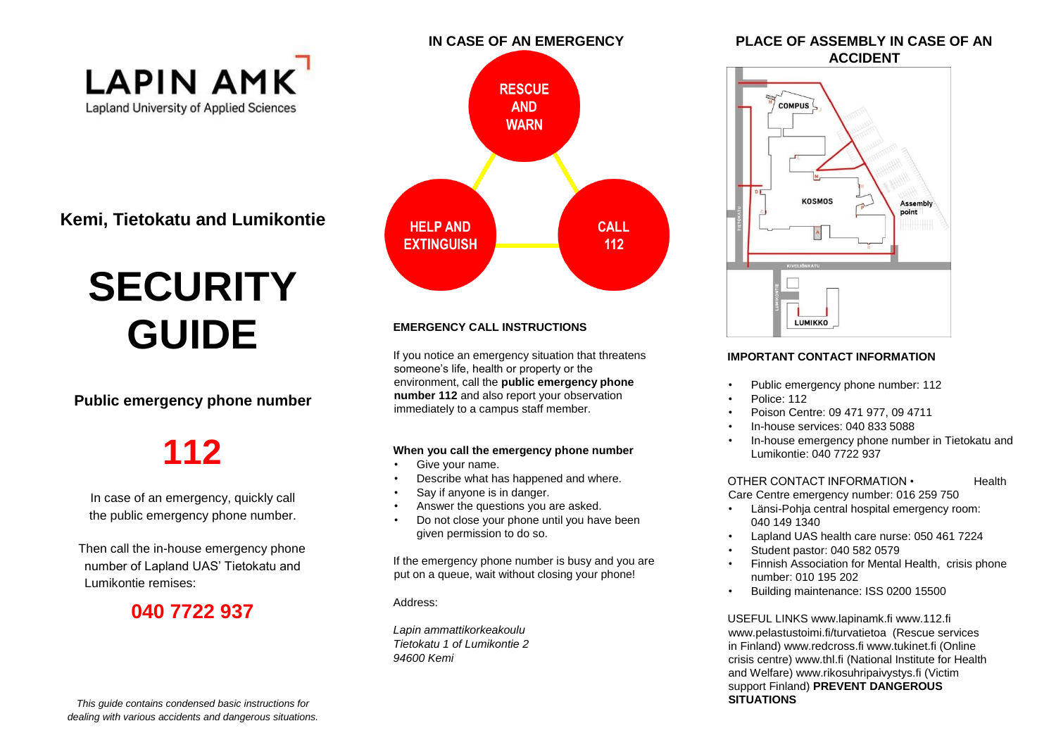

**Kemi, Tietokatu and Lumikontie** 

# **SECURITY GUIDE**

#### **Public emergency phone number**

## **112**

In case of an emergency, quickly call the public emergency phone number.

Then call the in-house emergency phone number of Lapland UAS' Tietokatu and Lumikontie remises:

### **040 7722 937**



#### **EMERGENCY CALL INSTRUCTIONS**

If you notice an emergency situation that threatens someone's life, health or property or the environment, call the **public emergency phone number 112** and also report your observation immediately to a campus staff member.

#### **When you call the emergency phone number**

- Give your name.
- Describe what has happened and where.
- Say if anyone is in danger.
- Answer the questions you are asked.
- Do not close your phone until you have been given permission to do so.

If the emergency phone number is busy and you are put on a queue, wait without closing your phone!

Address:

*Lapin ammattikorkeakoulu Tietokatu 1 of Lumikontie 2 94600 Kemi* 



point

#### **IMPORTANT CONTACT INFORMATION**

**LUMIKKO** 

- Public emergency phone number: 112
- Police: 112
- Poison Centre: 09 471 977, 09 4711
- In-house services: 040 833 5088
- In-house emergency phone number in Tietokatu and Lumikontie: 040 7722 937

OTHER CONTACT INFORMATION • Health Care Centre emergency number: 016 259 750

- Länsi-Pohja central hospital emergency room: 040 149 1340
- Lapland UAS health care nurse: 050 461 7224
- Student pastor: 040 582 0579
- Finnish Association for Mental Health, crisis phone number: 010 195 202
- Building maintenance: ISS 0200 15500

USEFUL LINKS www.lapinamk.fi www.112.fi www.pelastustoimi.fi/turvatietoa (Rescue services in Finland) www.redcross.fi www.tukinet.fi (Online crisis centre) www.thl.fi (National Institute for Health and Welfare) www.rikosuhripaivystys.fi (Victim support Finland) **PREVENT DANGEROUS SITUATIONS**